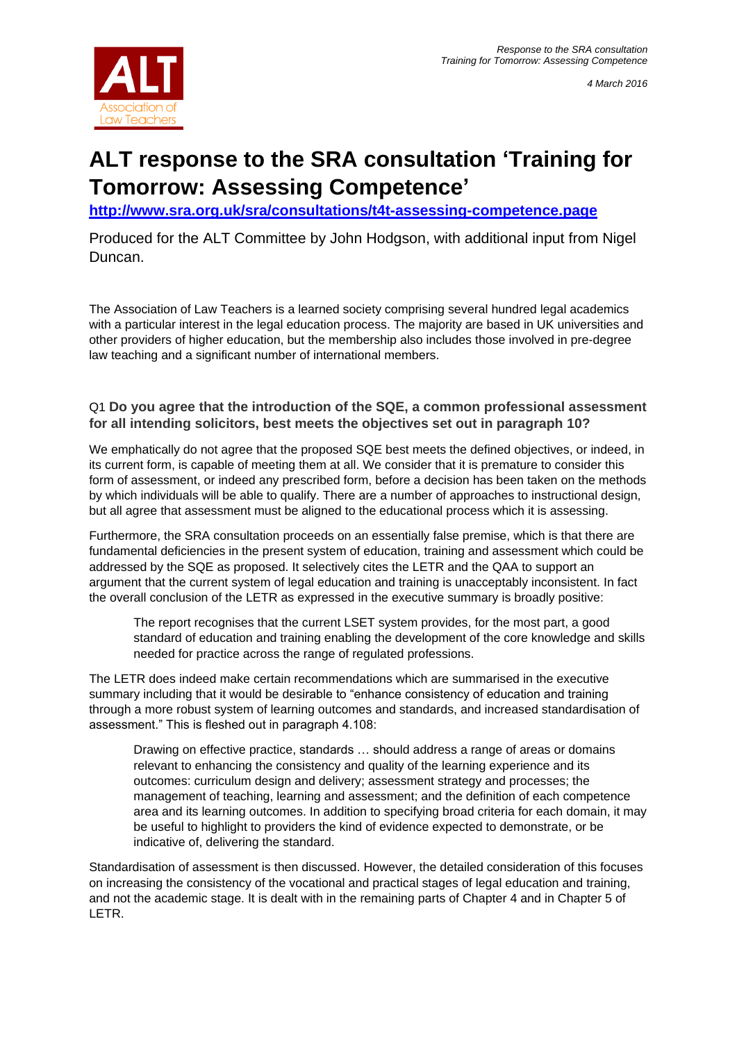

# **ALT response to the SRA consultation 'Training for Tomorrow: Assessing Competence'**

**<http://www.sra.org.uk/sra/consultations/t4t-assessing-competence.page>**

Produced for the ALT Committee by John Hodgson, with additional input from Nigel Duncan.

The Association of Law Teachers is a learned society comprising several hundred legal academics with a particular interest in the legal education process. The majority are based in UK universities and other providers of higher education, but the membership also includes those involved in pre-degree law teaching and a significant number of international members.

# Q1 **Do you agree that the introduction of the SQE, a common professional assessment for all intending solicitors, best meets the objectives set out in paragraph 10?**

We emphatically do not agree that the proposed SQE best meets the defined objectives, or indeed, in its current form, is capable of meeting them at all. We consider that it is premature to consider this form of assessment, or indeed any prescribed form, before a decision has been taken on the methods by which individuals will be able to qualify. There are a number of approaches to instructional design, but all agree that assessment must be aligned to the educational process which it is assessing.

Furthermore, the SRA consultation proceeds on an essentially false premise, which is that there are fundamental deficiencies in the present system of education, training and assessment which could be addressed by the SQE as proposed. It selectively cites the LETR and the QAA to support an argument that the current system of legal education and training is unacceptably inconsistent. In fact the overall conclusion of the LETR as expressed in the executive summary is broadly positive:

The report recognises that the current LSET system provides, for the most part, a good standard of education and training enabling the development of the core knowledge and skills needed for practice across the range of regulated professions.

The LETR does indeed make certain recommendations which are summarised in the executive summary including that it would be desirable to "enhance consistency of education and training through a more robust system of learning outcomes and standards, and increased standardisation of assessment." This is fleshed out in paragraph 4.108:

Drawing on effective practice, standards … should address a range of areas or domains relevant to enhancing the consistency and quality of the learning experience and its outcomes: curriculum design and delivery; assessment strategy and processes; the management of teaching, learning and assessment; and the definition of each competence area and its learning outcomes. In addition to specifying broad criteria for each domain, it may be useful to highlight to providers the kind of evidence expected to demonstrate, or be indicative of, delivering the standard.

Standardisation of assessment is then discussed. However, the detailed consideration of this focuses on increasing the consistency of the vocational and practical stages of legal education and training, and not the academic stage. It is dealt with in the remaining parts of Chapter 4 and in Chapter 5 of LETR.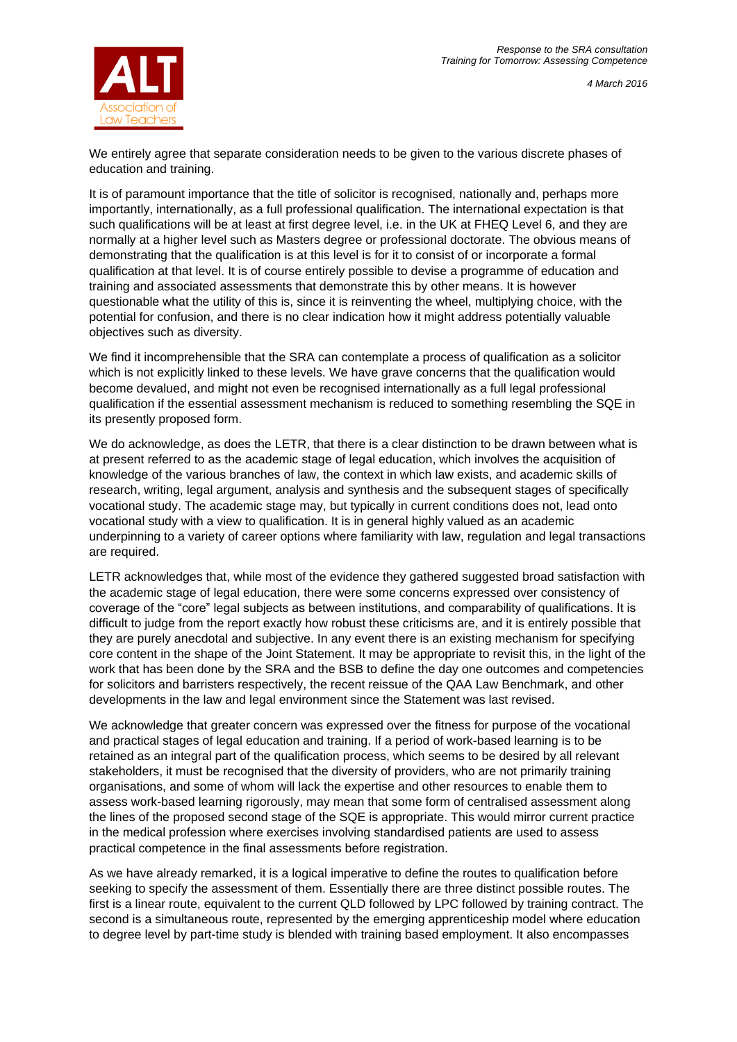



We entirely agree that separate consideration needs to be given to the various discrete phases of education and training.

It is of paramount importance that the title of solicitor is recognised, nationally and, perhaps more importantly, internationally, as a full professional qualification. The international expectation is that such qualifications will be at least at first degree level, i.e. in the UK at FHEQ Level 6, and they are normally at a higher level such as Masters degree or professional doctorate. The obvious means of demonstrating that the qualification is at this level is for it to consist of or incorporate a formal qualification at that level. It is of course entirely possible to devise a programme of education and training and associated assessments that demonstrate this by other means. It is however questionable what the utility of this is, since it is reinventing the wheel, multiplying choice, with the potential for confusion, and there is no clear indication how it might address potentially valuable objectives such as diversity.

We find it incomprehensible that the SRA can contemplate a process of qualification as a solicitor which is not explicitly linked to these levels. We have grave concerns that the qualification would become devalued, and might not even be recognised internationally as a full legal professional qualification if the essential assessment mechanism is reduced to something resembling the SQE in its presently proposed form.

We do acknowledge, as does the LETR, that there is a clear distinction to be drawn between what is at present referred to as the academic stage of legal education, which involves the acquisition of knowledge of the various branches of law, the context in which law exists, and academic skills of research, writing, legal argument, analysis and synthesis and the subsequent stages of specifically vocational study. The academic stage may, but typically in current conditions does not, lead onto vocational study with a view to qualification. It is in general highly valued as an academic underpinning to a variety of career options where familiarity with law, regulation and legal transactions are required.

LETR acknowledges that, while most of the evidence they gathered suggested broad satisfaction with the academic stage of legal education, there were some concerns expressed over consistency of coverage of the "core" legal subjects as between institutions, and comparability of qualifications. It is difficult to judge from the report exactly how robust these criticisms are, and it is entirely possible that they are purely anecdotal and subjective. In any event there is an existing mechanism for specifying core content in the shape of the Joint Statement. It may be appropriate to revisit this, in the light of the work that has been done by the SRA and the BSB to define the day one outcomes and competencies for solicitors and barristers respectively, the recent reissue of the QAA Law Benchmark, and other developments in the law and legal environment since the Statement was last revised.

We acknowledge that greater concern was expressed over the fitness for purpose of the vocational and practical stages of legal education and training. If a period of work-based learning is to be retained as an integral part of the qualification process, which seems to be desired by all relevant stakeholders, it must be recognised that the diversity of providers, who are not primarily training organisations, and some of whom will lack the expertise and other resources to enable them to assess work-based learning rigorously, may mean that some form of centralised assessment along the lines of the proposed second stage of the SQE is appropriate. This would mirror current practice in the medical profession where exercises involving standardised patients are used to assess practical competence in the final assessments before registration.

As we have already remarked, it is a logical imperative to define the routes to qualification before seeking to specify the assessment of them. Essentially there are three distinct possible routes. The first is a linear route, equivalent to the current QLD followed by LPC followed by training contract. The second is a simultaneous route, represented by the emerging apprenticeship model where education to degree level by part-time study is blended with training based employment. It also encompasses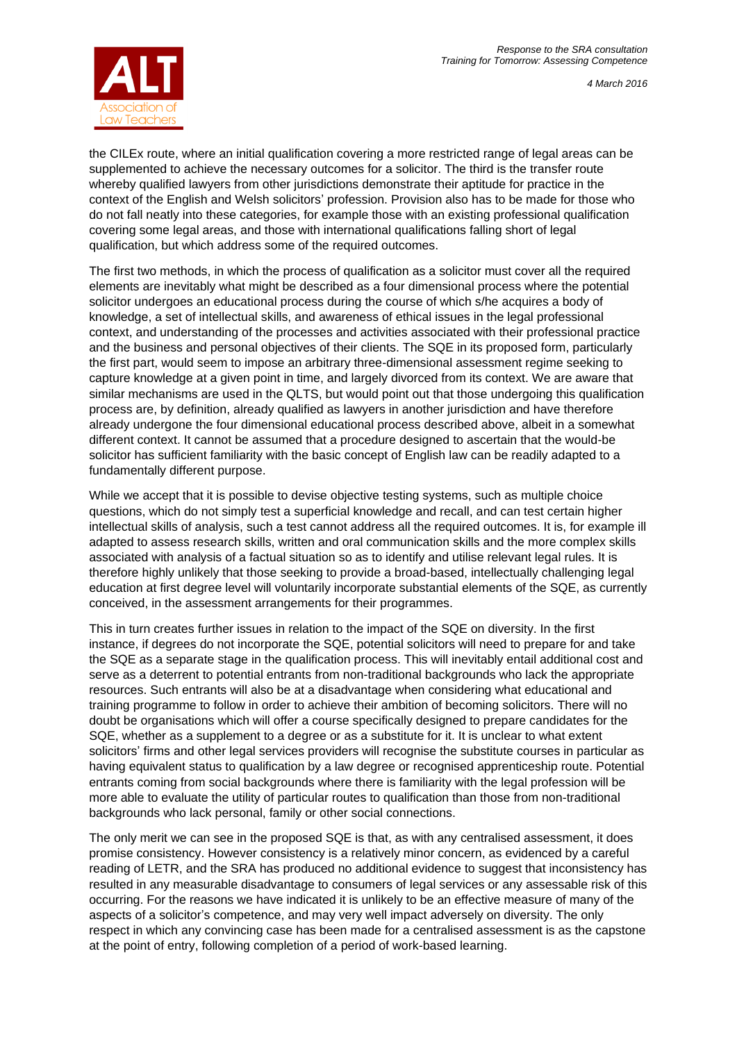*4 March 2016*





the CILEx route, where an initial qualification covering a more restricted range of legal areas can be supplemented to achieve the necessary outcomes for a solicitor. The third is the transfer route whereby qualified lawyers from other jurisdictions demonstrate their aptitude for practice in the context of the English and Welsh solicitors' profession. Provision also has to be made for those who do not fall neatly into these categories, for example those with an existing professional qualification covering some legal areas, and those with international qualifications falling short of legal qualification, but which address some of the required outcomes.

The first two methods, in which the process of qualification as a solicitor must cover all the required elements are inevitably what might be described as a four dimensional process where the potential solicitor undergoes an educational process during the course of which s/he acquires a body of knowledge, a set of intellectual skills, and awareness of ethical issues in the legal professional context, and understanding of the processes and activities associated with their professional practice and the business and personal objectives of their clients. The SQE in its proposed form, particularly the first part, would seem to impose an arbitrary three-dimensional assessment regime seeking to capture knowledge at a given point in time, and largely divorced from its context. We are aware that similar mechanisms are used in the QLTS, but would point out that those undergoing this qualification process are, by definition, already qualified as lawyers in another jurisdiction and have therefore already undergone the four dimensional educational process described above, albeit in a somewhat different context. It cannot be assumed that a procedure designed to ascertain that the would-be solicitor has sufficient familiarity with the basic concept of English law can be readily adapted to a fundamentally different purpose.

While we accept that it is possible to devise objective testing systems, such as multiple choice questions, which do not simply test a superficial knowledge and recall, and can test certain higher intellectual skills of analysis, such a test cannot address all the required outcomes. It is, for example ill adapted to assess research skills, written and oral communication skills and the more complex skills associated with analysis of a factual situation so as to identify and utilise relevant legal rules. It is therefore highly unlikely that those seeking to provide a broad-based, intellectually challenging legal education at first degree level will voluntarily incorporate substantial elements of the SQE, as currently conceived, in the assessment arrangements for their programmes.

This in turn creates further issues in relation to the impact of the SQE on diversity. In the first instance, if degrees do not incorporate the SQE, potential solicitors will need to prepare for and take the SQE as a separate stage in the qualification process. This will inevitably entail additional cost and serve as a deterrent to potential entrants from non-traditional backgrounds who lack the appropriate resources. Such entrants will also be at a disadvantage when considering what educational and training programme to follow in order to achieve their ambition of becoming solicitors. There will no doubt be organisations which will offer a course specifically designed to prepare candidates for the SQE, whether as a supplement to a degree or as a substitute for it. It is unclear to what extent solicitors' firms and other legal services providers will recognise the substitute courses in particular as having equivalent status to qualification by a law degree or recognised apprenticeship route. Potential entrants coming from social backgrounds where there is familiarity with the legal profession will be more able to evaluate the utility of particular routes to qualification than those from non-traditional backgrounds who lack personal, family or other social connections.

The only merit we can see in the proposed SQE is that, as with any centralised assessment, it does promise consistency. However consistency is a relatively minor concern, as evidenced by a careful reading of LETR, and the SRA has produced no additional evidence to suggest that inconsistency has resulted in any measurable disadvantage to consumers of legal services or any assessable risk of this occurring. For the reasons we have indicated it is unlikely to be an effective measure of many of the aspects of a solicitor's competence, and may very well impact adversely on diversity. The only respect in which any convincing case has been made for a centralised assessment is as the capstone at the point of entry, following completion of a period of work-based learning.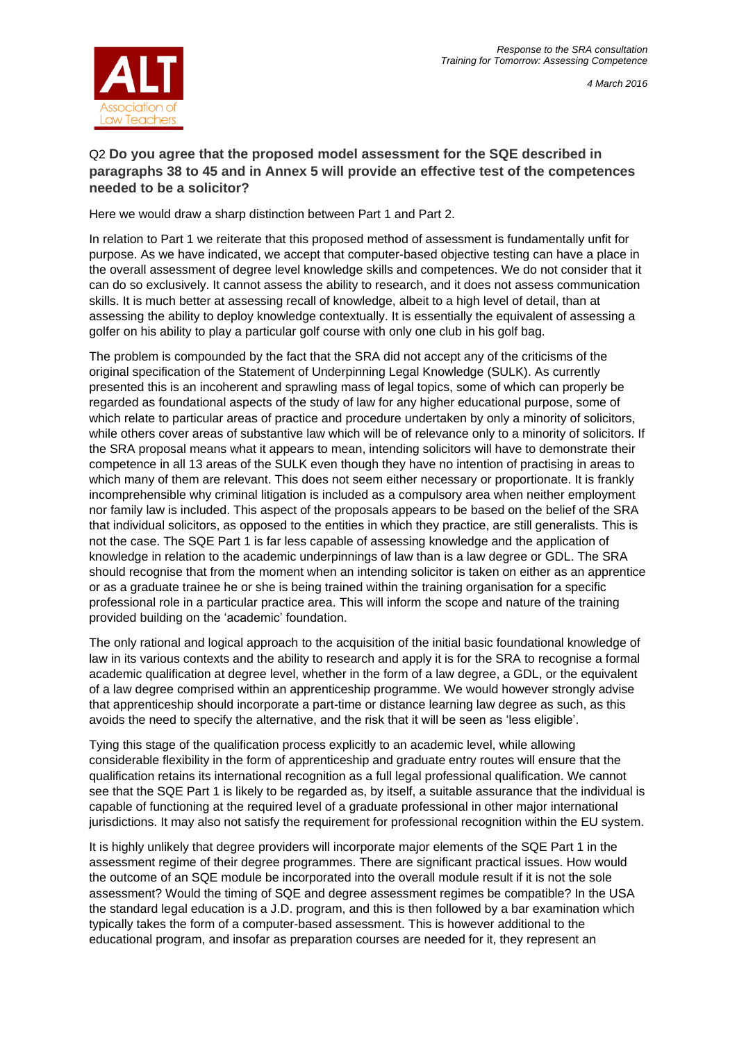

Law Teachers

# Q2 **Do you agree that the proposed model assessment for the SQE described in paragraphs 38 to 45 and in Annex 5 will provide an effective test of the competences needed to be a solicitor?**

Here we would draw a sharp distinction between Part 1 and Part 2.

In relation to Part 1 we reiterate that this proposed method of assessment is fundamentally unfit for purpose. As we have indicated, we accept that computer-based objective testing can have a place in the overall assessment of degree level knowledge skills and competences. We do not consider that it can do so exclusively. It cannot assess the ability to research, and it does not assess communication skills. It is much better at assessing recall of knowledge, albeit to a high level of detail, than at assessing the ability to deploy knowledge contextually. It is essentially the equivalent of assessing a golfer on his ability to play a particular golf course with only one club in his golf bag.

The problem is compounded by the fact that the SRA did not accept any of the criticisms of the original specification of the Statement of Underpinning Legal Knowledge (SULK). As currently presented this is an incoherent and sprawling mass of legal topics, some of which can properly be regarded as foundational aspects of the study of law for any higher educational purpose, some of which relate to particular areas of practice and procedure undertaken by only a minority of solicitors, while others cover areas of substantive law which will be of relevance only to a minority of solicitors. If the SRA proposal means what it appears to mean, intending solicitors will have to demonstrate their competence in all 13 areas of the SULK even though they have no intention of practising in areas to which many of them are relevant. This does not seem either necessary or proportionate. It is frankly incomprehensible why criminal litigation is included as a compulsory area when neither employment nor family law is included. This aspect of the proposals appears to be based on the belief of the SRA that individual solicitors, as opposed to the entities in which they practice, are still generalists. This is not the case. The SQE Part 1 is far less capable of assessing knowledge and the application of knowledge in relation to the academic underpinnings of law than is a law degree or GDL. The SRA should recognise that from the moment when an intending solicitor is taken on either as an apprentice or as a graduate trainee he or she is being trained within the training organisation for a specific professional role in a particular practice area. This will inform the scope and nature of the training provided building on the 'academic' foundation.

The only rational and logical approach to the acquisition of the initial basic foundational knowledge of law in its various contexts and the ability to research and apply it is for the SRA to recognise a formal academic qualification at degree level, whether in the form of a law degree, a GDL, or the equivalent of a law degree comprised within an apprenticeship programme. We would however strongly advise that apprenticeship should incorporate a part-time or distance learning law degree as such, as this avoids the need to specify the alternative, and the risk that it will be seen as 'less eligible'.

Tying this stage of the qualification process explicitly to an academic level, while allowing considerable flexibility in the form of apprenticeship and graduate entry routes will ensure that the qualification retains its international recognition as a full legal professional qualification. We cannot see that the SQE Part 1 is likely to be regarded as, by itself, a suitable assurance that the individual is capable of functioning at the required level of a graduate professional in other major international jurisdictions. It may also not satisfy the requirement for professional recognition within the EU system.

It is highly unlikely that degree providers will incorporate major elements of the SQE Part 1 in the assessment regime of their degree programmes. There are significant practical issues. How would the outcome of an SQE module be incorporated into the overall module result if it is not the sole assessment? Would the timing of SQE and degree assessment regimes be compatible? In the USA the standard legal education is a J.D. program, and this is then followed by a bar examination which typically takes the form of a computer-based assessment. This is however additional to the educational program, and insofar as preparation courses are needed for it, they represent an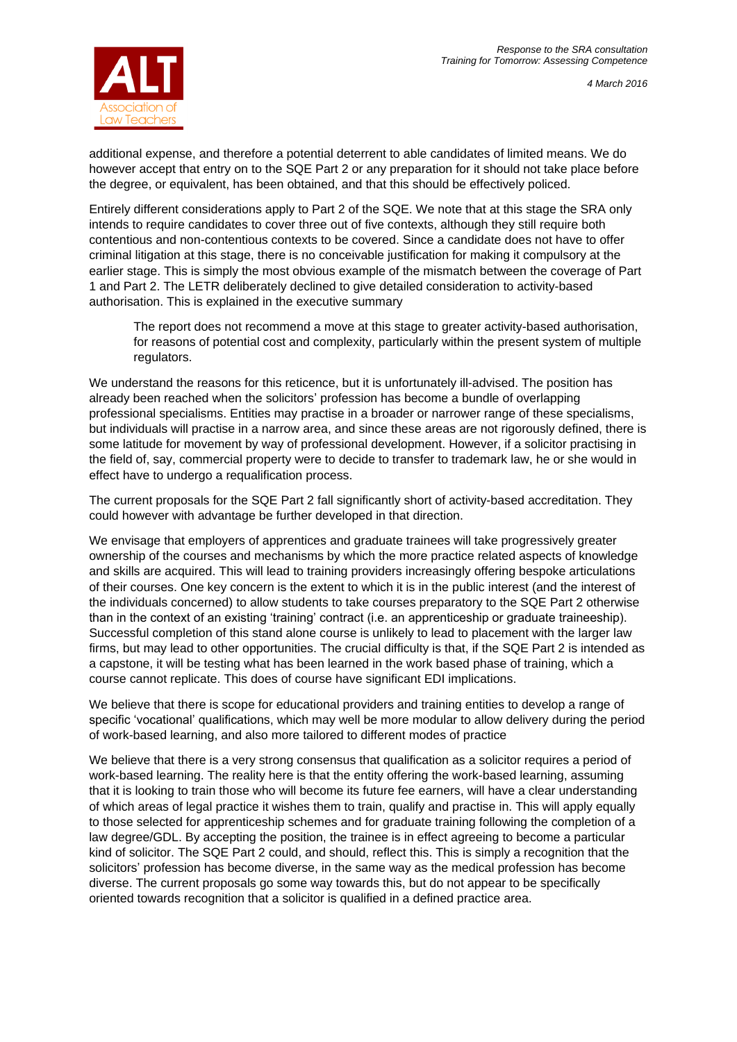

additional expense, and therefore a potential deterrent to able candidates of limited means. We do however accept that entry on to the SQE Part 2 or any preparation for it should not take place before the degree, or equivalent, has been obtained, and that this should be effectively policed.

Entirely different considerations apply to Part 2 of the SQE. We note that at this stage the SRA only intends to require candidates to cover three out of five contexts, although they still require both contentious and non-contentious contexts to be covered. Since a candidate does not have to offer criminal litigation at this stage, there is no conceivable justification for making it compulsory at the earlier stage. This is simply the most obvious example of the mismatch between the coverage of Part 1 and Part 2. The LETR deliberately declined to give detailed consideration to activity-based authorisation. This is explained in the executive summary

The report does not recommend a move at this stage to greater activity-based authorisation, for reasons of potential cost and complexity, particularly within the present system of multiple regulators.

We understand the reasons for this reticence, but it is unfortunately ill-advised. The position has already been reached when the solicitors' profession has become a bundle of overlapping professional specialisms. Entities may practise in a broader or narrower range of these specialisms, but individuals will practise in a narrow area, and since these areas are not rigorously defined, there is some latitude for movement by way of professional development. However, if a solicitor practising in the field of, say, commercial property were to decide to transfer to trademark law, he or she would in effect have to undergo a requalification process.

The current proposals for the SQE Part 2 fall significantly short of activity-based accreditation. They could however with advantage be further developed in that direction.

We envisage that employers of apprentices and graduate trainees will take progressively greater ownership of the courses and mechanisms by which the more practice related aspects of knowledge and skills are acquired. This will lead to training providers increasingly offering bespoke articulations of their courses. One key concern is the extent to which it is in the public interest (and the interest of the individuals concerned) to allow students to take courses preparatory to the SQE Part 2 otherwise than in the context of an existing 'training' contract (i.e. an apprenticeship or graduate traineeship). Successful completion of this stand alone course is unlikely to lead to placement with the larger law firms, but may lead to other opportunities. The crucial difficulty is that, if the SQE Part 2 is intended as a capstone, it will be testing what has been learned in the work based phase of training, which a course cannot replicate. This does of course have significant EDI implications.

We believe that there is scope for educational providers and training entities to develop a range of specific 'vocational' qualifications, which may well be more modular to allow delivery during the period of work-based learning, and also more tailored to different modes of practice

We believe that there is a very strong consensus that qualification as a solicitor requires a period of work-based learning. The reality here is that the entity offering the work-based learning, assuming that it is looking to train those who will become its future fee earners, will have a clear understanding of which areas of legal practice it wishes them to train, qualify and practise in. This will apply equally to those selected for apprenticeship schemes and for graduate training following the completion of a law degree/GDL. By accepting the position, the trainee is in effect agreeing to become a particular kind of solicitor. The SQE Part 2 could, and should, reflect this. This is simply a recognition that the solicitors' profession has become diverse, in the same way as the medical profession has become diverse. The current proposals go some way towards this, but do not appear to be specifically oriented towards recognition that a solicitor is qualified in a defined practice area.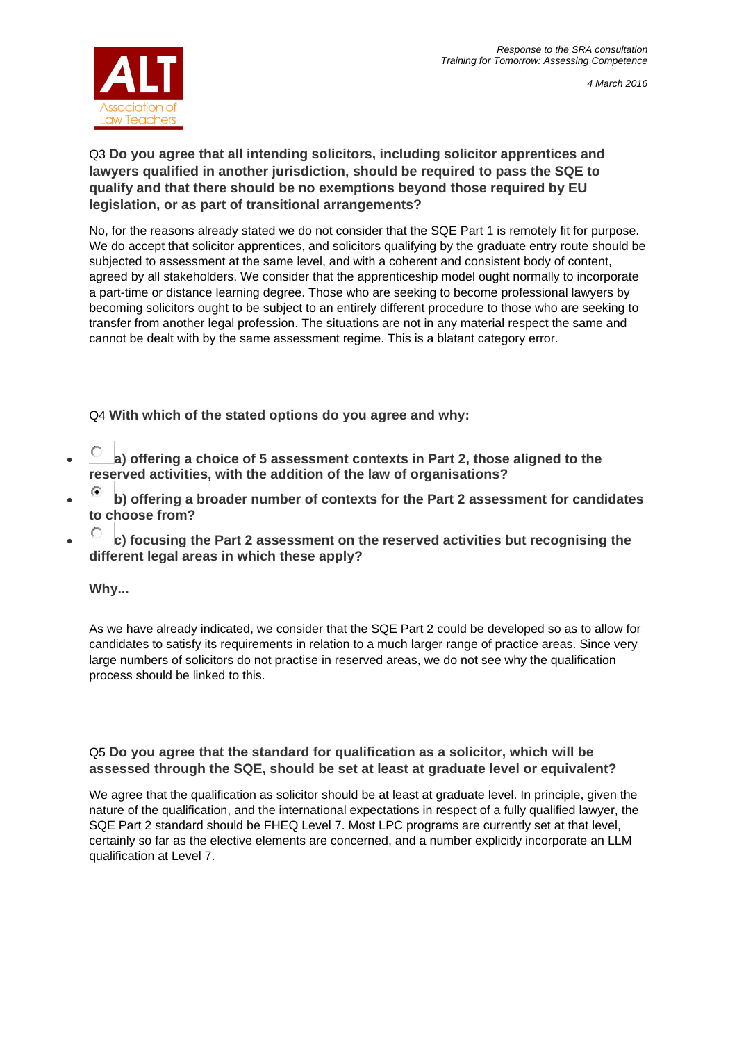

# Q3 **Do you agree that all intending solicitors, including solicitor apprentices and lawyers qualified in another jurisdiction, should be required to pass the SQE to qualify and that there should be no exemptions beyond those required by EU legislation, or as part of transitional arrangements?**

No, for the reasons already stated we do not consider that the SQE Part 1 is remotely fit for purpose. We do accept that solicitor apprentices, and solicitors qualifying by the graduate entry route should be subjected to assessment at the same level, and with a coherent and consistent body of content, agreed by all stakeholders. We consider that the apprenticeship model ought normally to incorporate a part-time or distance learning degree. Those who are seeking to become professional lawyers by becoming solicitors ought to be subject to an entirely different procedure to those who are seeking to transfer from another legal profession. The situations are not in any material respect the same and cannot be dealt with by the same assessment regime. This is a blatant category error.

Q4 **With which of the stated options do you agree and why:**

- **a) offering a choice of 5 assessment contexts in Part 2, those aligned to the reserved activities, with the addition of the law of organisations?**
- **b) offering a broader number of contexts for the Part 2 assessment for candidates to choose from?**
- **c) focusing the Part 2 assessment on the reserved activities but recognising the different legal areas in which these apply?**

# **Why...**

As we have already indicated, we consider that the SQE Part 2 could be developed so as to allow for candidates to satisfy its requirements in relation to a much larger range of practice areas. Since very large numbers of solicitors do not practise in reserved areas, we do not see why the qualification process should be linked to this.

# Q5 **Do you agree that the standard for qualification as a solicitor, which will be assessed through the SQE, should be set at least at graduate level or equivalent?**

We agree that the qualification as solicitor should be at least at graduate level. In principle, given the nature of the qualification, and the international expectations in respect of a fully qualified lawyer, the SQE Part 2 standard should be FHEQ Level 7. Most LPC programs are currently set at that level, certainly so far as the elective elements are concerned, and a number explicitly incorporate an LLM qualification at Level 7.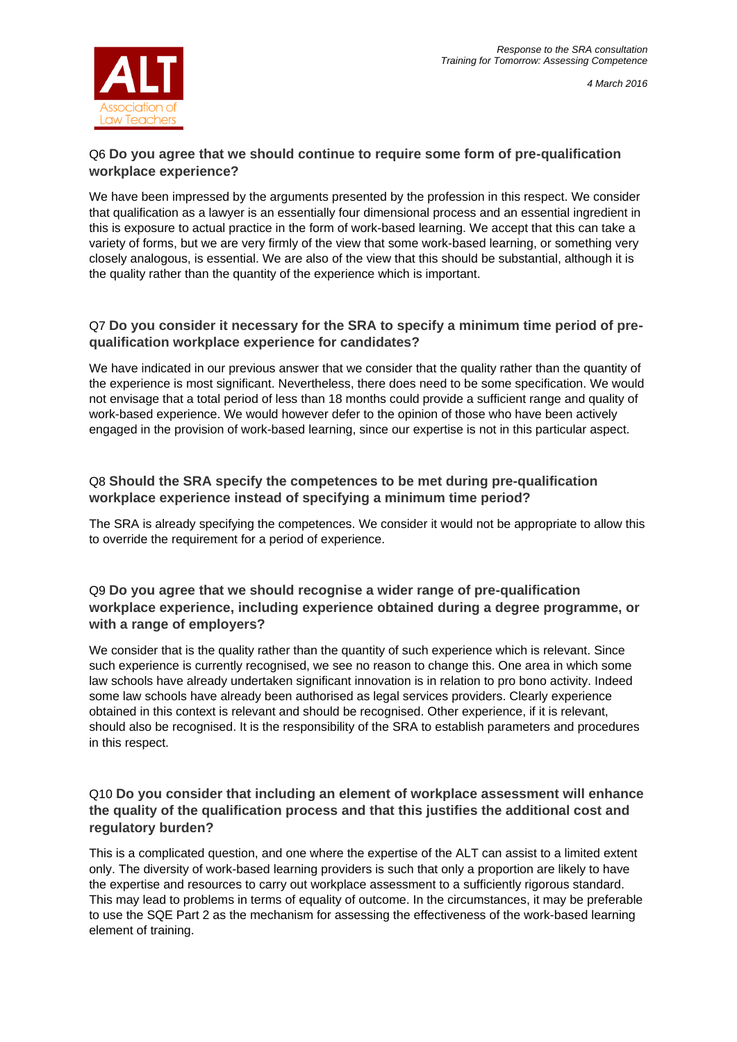

# Q6 **Do you agree that we should continue to require some form of pre-qualification workplace experience?**

We have been impressed by the arguments presented by the profession in this respect. We consider that qualification as a lawyer is an essentially four dimensional process and an essential ingredient in this is exposure to actual practice in the form of work-based learning. We accept that this can take a variety of forms, but we are very firmly of the view that some work-based learning, or something very closely analogous, is essential. We are also of the view that this should be substantial, although it is the quality rather than the quantity of the experience which is important.

#### Q7 **Do you consider it necessary for the SRA to specify a minimum time period of prequalification workplace experience for candidates?**

We have indicated in our previous answer that we consider that the quality rather than the quantity of the experience is most significant. Nevertheless, there does need to be some specification. We would not envisage that a total period of less than 18 months could provide a sufficient range and quality of work-based experience. We would however defer to the opinion of those who have been actively engaged in the provision of work-based learning, since our expertise is not in this particular aspect.

# Q8 **Should the SRA specify the competences to be met during pre-qualification workplace experience instead of specifying a minimum time period?**

The SRA is already specifying the competences. We consider it would not be appropriate to allow this to override the requirement for a period of experience.

# Q9 **Do you agree that we should recognise a wider range of pre-qualification workplace experience, including experience obtained during a degree programme, or with a range of employers?**

We consider that is the quality rather than the quantity of such experience which is relevant. Since such experience is currently recognised, we see no reason to change this. One area in which some law schools have already undertaken significant innovation is in relation to pro bono activity. Indeed some law schools have already been authorised as legal services providers. Clearly experience obtained in this context is relevant and should be recognised. Other experience, if it is relevant, should also be recognised. It is the responsibility of the SRA to establish parameters and procedures in this respect.

# Q10 **Do you consider that including an element of workplace assessment will enhance the quality of the qualification process and that this justifies the additional cost and regulatory burden?**

This is a complicated question, and one where the expertise of the ALT can assist to a limited extent only. The diversity of work-based learning providers is such that only a proportion are likely to have the expertise and resources to carry out workplace assessment to a sufficiently rigorous standard. This may lead to problems in terms of equality of outcome. In the circumstances, it may be preferable to use the SQE Part 2 as the mechanism for assessing the effectiveness of the work-based learning element of training.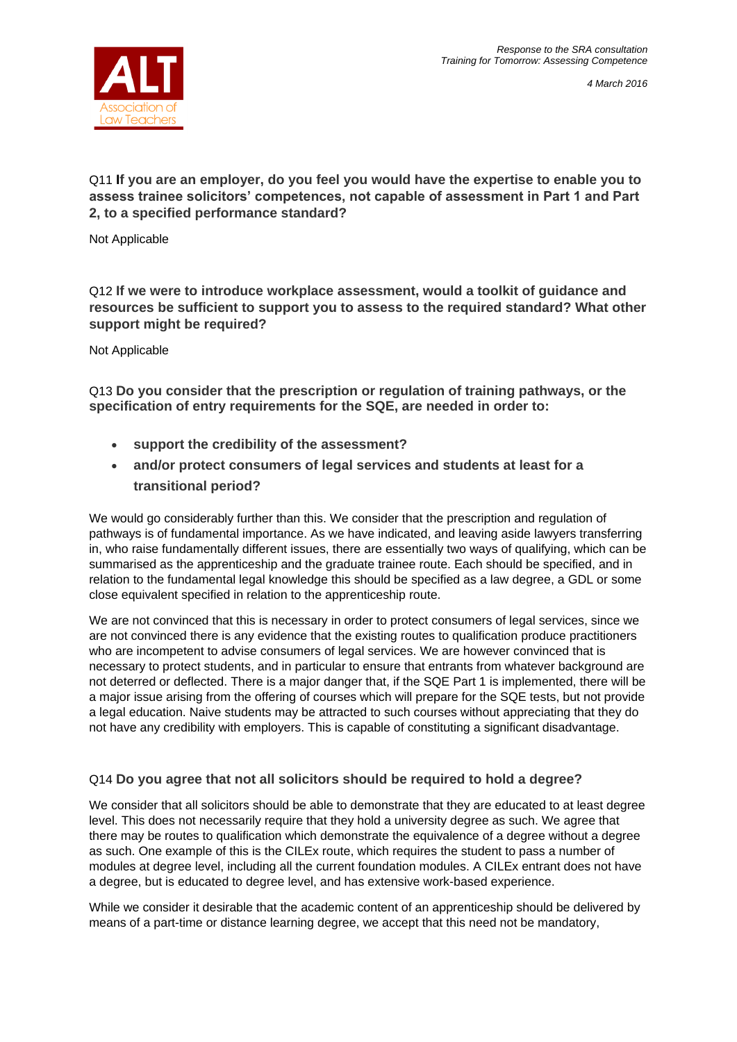

*4 March 2016*

Q11 **If you are an employer, do you feel you would have the expertise to enable you to assess trainee solicitors' competences, not capable of assessment in Part 1 and Part 2, to a specified performance standard?**

Not Applicable

Q12 **If we were to introduce workplace assessment, would a toolkit of guidance and resources be sufficient to support you to assess to the required standard? What other support might be required?**

Not Applicable

Q13 **Do you consider that the prescription or regulation of training pathways, or the specification of entry requirements for the SQE, are needed in order to:**

- **support the credibility of the assessment?**
- **and/or protect consumers of legal services and students at least for a transitional period?**

We would go considerably further than this. We consider that the prescription and regulation of pathways is of fundamental importance. As we have indicated, and leaving aside lawyers transferring in, who raise fundamentally different issues, there are essentially two ways of qualifying, which can be summarised as the apprenticeship and the graduate trainee route. Each should be specified, and in relation to the fundamental legal knowledge this should be specified as a law degree, a GDL or some close equivalent specified in relation to the apprenticeship route.

We are not convinced that this is necessary in order to protect consumers of legal services, since we are not convinced there is any evidence that the existing routes to qualification produce practitioners who are incompetent to advise consumers of legal services. We are however convinced that is necessary to protect students, and in particular to ensure that entrants from whatever background are not deterred or deflected. There is a major danger that, if the SQE Part 1 is implemented, there will be a major issue arising from the offering of courses which will prepare for the SQE tests, but not provide a legal education. Naive students may be attracted to such courses without appreciating that they do not have any credibility with employers. This is capable of constituting a significant disadvantage.

# Q14 **Do you agree that not all solicitors should be required to hold a degree?**

We consider that all solicitors should be able to demonstrate that they are educated to at least degree level. This does not necessarily require that they hold a university degree as such. We agree that there may be routes to qualification which demonstrate the equivalence of a degree without a degree as such. One example of this is the CILEx route, which requires the student to pass a number of modules at degree level, including all the current foundation modules. A CILEx entrant does not have a degree, but is educated to degree level, and has extensive work-based experience.

While we consider it desirable that the academic content of an apprenticeship should be delivered by means of a part-time or distance learning degree, we accept that this need not be mandatory,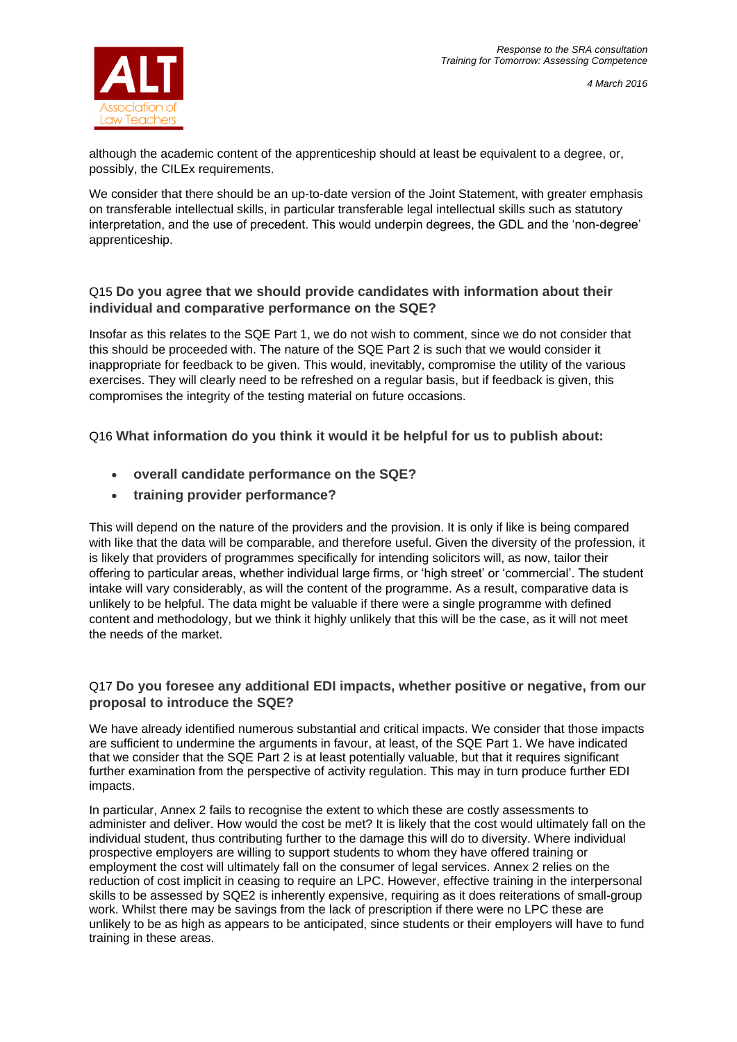



although the academic content of the apprenticeship should at least be equivalent to a degree, or, possibly, the CILEx requirements.

We consider that there should be an up-to-date version of the Joint Statement, with greater emphasis on transferable intellectual skills, in particular transferable legal intellectual skills such as statutory interpretation, and the use of precedent. This would underpin degrees, the GDL and the 'non-degree' apprenticeship.

#### Q15 **Do you agree that we should provide candidates with information about their individual and comparative performance on the SQE?**

Insofar as this relates to the SQE Part 1, we do not wish to comment, since we do not consider that this should be proceeded with. The nature of the SQE Part 2 is such that we would consider it inappropriate for feedback to be given. This would, inevitably, compromise the utility of the various exercises. They will clearly need to be refreshed on a regular basis, but if feedback is given, this compromises the integrity of the testing material on future occasions.

Q16 **What information do you think it would it be helpful for us to publish about:**

- **overall candidate performance on the SQE?**
- **training provider performance?**

This will depend on the nature of the providers and the provision. It is only if like is being compared with like that the data will be comparable, and therefore useful. Given the diversity of the profession, it is likely that providers of programmes specifically for intending solicitors will, as now, tailor their offering to particular areas, whether individual large firms, or 'high street' or 'commercial'. The student intake will vary considerably, as will the content of the programme. As a result, comparative data is unlikely to be helpful. The data might be valuable if there were a single programme with defined content and methodology, but we think it highly unlikely that this will be the case, as it will not meet the needs of the market.

# Q17 **Do you foresee any additional EDI impacts, whether positive or negative, from our proposal to introduce the SQE?**

We have already identified numerous substantial and critical impacts. We consider that those impacts are sufficient to undermine the arguments in favour, at least, of the SQE Part 1. We have indicated that we consider that the SQE Part 2 is at least potentially valuable, but that it requires significant further examination from the perspective of activity regulation. This may in turn produce further EDI impacts.

In particular, Annex 2 fails to recognise the extent to which these are costly assessments to administer and deliver. How would the cost be met? It is likely that the cost would ultimately fall on the individual student, thus contributing further to the damage this will do to diversity. Where individual prospective employers are willing to support students to whom they have offered training or employment the cost will ultimately fall on the consumer of legal services. Annex 2 relies on the reduction of cost implicit in ceasing to require an LPC. However, effective training in the interpersonal skills to be assessed by SQE2 is inherently expensive, requiring as it does reiterations of small-group work. Whilst there may be savings from the lack of prescription if there were no LPC these are unlikely to be as high as appears to be anticipated, since students or their employers will have to fund training in these areas.